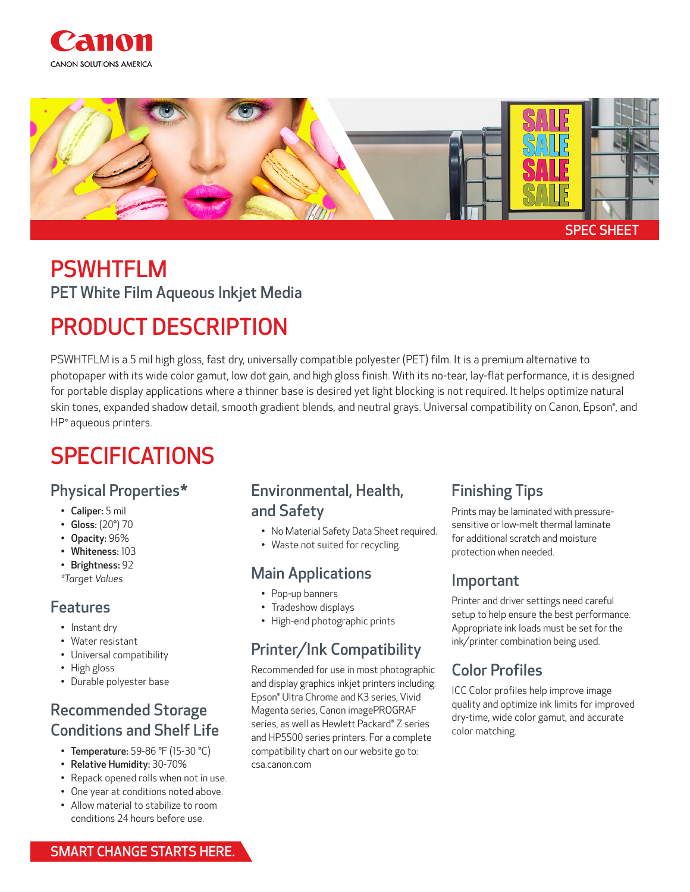



## PSWHTFLM PET White Film Aqueous Inkjet Media

# PRODUCT DESCRIPTION

PSWHTFLM is a 5 mil high gloss, fast dry, universally compatible polyester (PET) film. It is a premium alternative to photopaper with its wide color gamut, low dot gain, and high gloss finish. With its no-tear, lay-flat performance, it is designed for portable display applications where a thinner base is desired yet light blocking is not required. It helps optimize natural skin tones, expanded shadow detail, smooth gradient blends, and neutral grays. Universal compatibility on Canon, Epson®, and HP® aqueous printers.

## SPECIFICATIONS

#### Physical Properties\*

- Caliper: 5 mil
- Gloss: (20°) 70
- Opacity: 96%
- Whiteness: 103
- Brightness: 92
- *\*Target Values*

#### Features

- Instant dry
- Water resistant
- Universal compatibility
- High gloss
- Durable polyester base

### Recommended Storage Conditions and Shelf Life

- Temperature: 59-86 °F (15-30 °C)
- Relative Humidity: 30-70%
- Repack opened rolls when not in use.
- One year at conditions noted above.
- Allow material to stabilize to room conditions 24 hours before use.

#### Environmental, Health, and Safety

- No Material Safety Data Sheet required.
- Waste not suited for recycling.

### Main Applications

- Pop-up banners
- Tradeshow displays
- High-end photographic prints

### Printer/Ink Compatibility

Recommended for use in most photographic and display graphics inkjet printers including: Epson® Ultra Chrome and K3 series, Vivid Magenta series, Canon imagePROGRAF series, as well as Hewlett Packard® Z series and HP5500 series printers. For a complete compatibility chart on our website go to: csa.canon.com

### Finishing Tips

Prints may be laminated with pressuresensitive or low-melt thermal laminate for additional scratch and moisture protection when needed.

#### Important

Printer and driver settings need careful setup to help ensure the best performance. Appropriate ink loads must be set for the ink/printer combination being used.

### Color Profiles

ICC Color profiles help improve image quality and optimize ink limits for improved dry-time, wide color gamut, and accurate color matching.